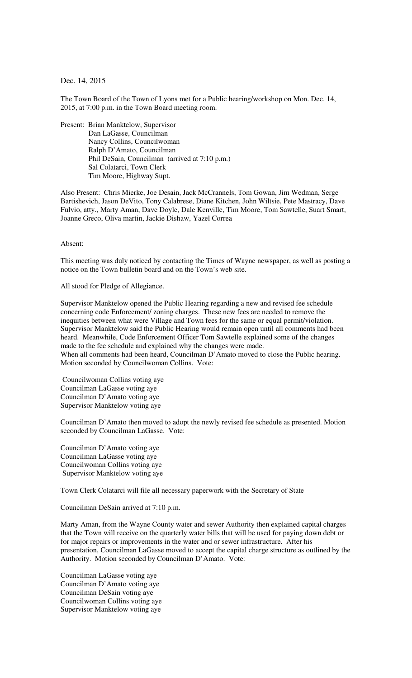Dec. 14, 2015

The Town Board of the Town of Lyons met for a Public hearing/workshop on Mon. Dec. 14, 2015, at 7:00 p.m. in the Town Board meeting room.

Present: Brian Manktelow, Supervisor Dan LaGasse, Councilman Nancy Collins, Councilwoman Ralph D'Amato, Councilman Phil DeSain, Councilman (arrived at 7:10 p.m.) Sal Colatarci, Town Clerk Tim Moore, Highway Supt.

Also Present: Chris Mierke, Joe Desain, Jack McCrannels, Tom Gowan, Jim Wedman, Serge Bartishevich, Jason DeVito, Tony Calabrese, Diane Kitchen, John Wiltsie, Pete Mastracy, Dave Fulvio, atty., Marty Aman, Dave Doyle, Dale Kenville, Tim Moore, Tom Sawtelle, Suart Smart, Joanne Greco, Oliva martin, Jackie Dishaw, Yazel Correa

Absent:

This meeting was duly noticed by contacting the Times of Wayne newspaper, as well as posting a notice on the Town bulletin board and on the Town's web site.

All stood for Pledge of Allegiance.

Supervisor Manktelow opened the Public Hearing regarding a new and revised fee schedule concerning code Enforcement/ zoning charges. These new fees are needed to remove the inequities between what were Village and Town fees for the same or equal permit/violation. Supervisor Manktelow said the Public Hearing would remain open until all comments had been heard. Meanwhile, Code Enforcement Officer Tom Sawtelle explained some of the changes made to the fee schedule and explained why the changes were made. When all comments had been heard, Councilman D'Amato moved to close the Public hearing. Motion seconded by Councilwoman Collins. Vote:

 Councilwoman Collins voting aye Councilman LaGasse voting aye Councilman D'Amato voting aye Supervisor Manktelow voting aye

Councilman D'Amato then moved to adopt the newly revised fee schedule as presented. Motion seconded by Councilman LaGasse. Vote:

Councilman D'Amato voting aye Councilman LaGasse voting aye Councilwoman Collins voting aye Supervisor Manktelow voting aye

Town Clerk Colatarci will file all necessary paperwork with the Secretary of State

Councilman DeSain arrived at 7:10 p.m.

Marty Aman, from the Wayne County water and sewer Authority then explained capital charges that the Town will receive on the quarterly water bills that will be used for paying down debt or for major repairs or improvements in the water and or sewer infrastructure. After his presentation, Councilman LaGasse moved to accept the capital charge structure as outlined by the Authority. Motion seconded by Councilman D'Amato. Vote:

Councilman LaGasse voting aye Councilman D'Amato voting aye Councilman DeSain voting aye Councilwoman Collins voting aye Supervisor Manktelow voting aye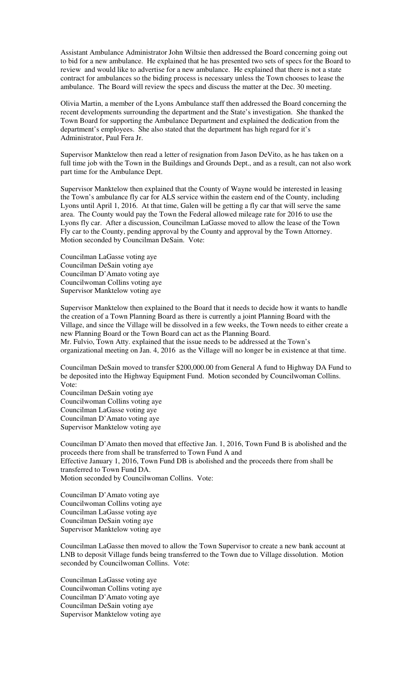Assistant Ambulance Administrator John Wiltsie then addressed the Board concerning going out to bid for a new ambulance. He explained that he has presented two sets of specs for the Board to review and would like to advertise for a new ambulance. He explained that there is not a state contract for ambulances so the biding process is necessary unless the Town chooses to lease the ambulance. The Board will review the specs and discuss the matter at the Dec. 30 meeting.

Olivia Martin, a member of the Lyons Ambulance staff then addressed the Board concerning the recent developments surrounding the department and the State's investigation. She thanked the Town Board for supporting the Ambulance Department and explained the dedication from the department's employees. She also stated that the department has high regard for it's Administrator, Paul Fera Jr.

Supervisor Manktelow then read a letter of resignation from Jason DeVito, as he has taken on a full time job with the Town in the Buildings and Grounds Dept., and as a result, can not also work part time for the Ambulance Dept.

Supervisor Manktelow then explained that the County of Wayne would be interested in leasing the Town's ambulance fly car for ALS service within the eastern end of the County, including Lyons until April 1, 2016. At that time, Galen will be getting a fly car that will serve the same area. The County would pay the Town the Federal allowed mileage rate for 2016 to use the Lyons fly car. After a discussion, Councilman LaGasse moved to allow the lease of the Town Fly car to the County, pending approval by the County and approval by the Town Attorney. Motion seconded by Councilman DeSain. Vote:

Councilman LaGasse voting aye Councilman DeSain voting aye Councilman D'Amato voting aye Councilwoman Collins voting aye Supervisor Manktelow voting aye

Supervisor Manktelow then explained to the Board that it needs to decide how it wants to handle the creation of a Town Planning Board as there is currently a joint Planning Board with the Village, and since the Village will be dissolved in a few weeks, the Town needs to either create a new Planning Board or the Town Board can act as the Planning Board. Mr. Fulvio, Town Atty. explained that the issue needs to be addressed at the Town's

organizational meeting on Jan. 4, 2016 as the Village will no longer be in existence at that time.

Councilman DeSain moved to transfer \$200,000.00 from General A fund to Highway DA Fund to be deposited into the Highway Equipment Fund. Motion seconded by Councilwoman Collins. Vote:

Councilman DeSain voting aye Councilwoman Collins voting aye Councilman LaGasse voting aye Councilman D'Amato voting aye Supervisor Manktelow voting aye

Councilman D'Amato then moved that effective Jan. 1, 2016, Town Fund B is abolished and the proceeds there from shall be transferred to Town Fund A and Effective January 1, 2016, Town Fund DB is abolished and the proceeds there from shall be transferred to Town Fund DA. Motion seconded by Councilwoman Collins. Vote:

Councilman D'Amato voting aye Councilwoman Collins voting aye Councilman LaGasse voting aye Councilman DeSain voting aye Supervisor Manktelow voting aye

Councilman LaGasse then moved to allow the Town Supervisor to create a new bank account at LNB to deposit Village funds being transferred to the Town due to Village dissolution. Motion seconded by Councilwoman Collins. Vote:

Councilman LaGasse voting aye Councilwoman Collins voting aye Councilman D'Amato voting aye Councilman DeSain voting aye Supervisor Manktelow voting aye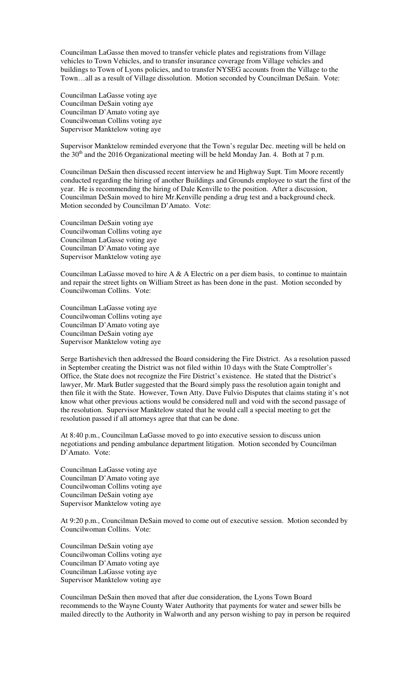Councilman LaGasse then moved to transfer vehicle plates and registrations from Village vehicles to Town Vehicles, and to transfer insurance coverage from Village vehicles and buildings to Town of Lyons policies, and to transfer NYSEG accounts from the Village to the Town…all as a result of Village dissolution. Motion seconded by Councilman DeSain. Vote:

Councilman LaGasse voting aye Councilman DeSain voting aye Councilman D'Amato voting aye Councilwoman Collins voting aye Supervisor Manktelow voting aye

Supervisor Manktelow reminded everyone that the Town's regular Dec. meeting will be held on the  $30<sup>th</sup>$  and the 2016 Organizational meeting will be held Monday Jan. 4. Both at 7 p.m.

Councilman DeSain then discussed recent interview he and Highway Supt. Tim Moore recently conducted regarding the hiring of another Buildings and Grounds employee to start the first of the year. He is recommending the hiring of Dale Kenville to the position. After a discussion, Councilman DeSain moved to hire Mr.Kenville pending a drug test and a background check. Motion seconded by Councilman D'Amato. Vote:

Councilman DeSain voting aye Councilwoman Collins voting aye Councilman LaGasse voting aye Councilman D'Amato voting aye Supervisor Manktelow voting aye

Councilman LaGasse moved to hire A  $\&$  A Electric on a per diem basis, to continue to maintain and repair the street lights on William Street as has been done in the past. Motion seconded by Councilwoman Collins. Vote:

Councilman LaGasse voting aye Councilwoman Collins voting aye Councilman D'Amato voting aye Councilman DeSain voting aye Supervisor Manktelow voting aye

Serge Bartishevich then addressed the Board considering the Fire District. As a resolution passed in September creating the District was not filed within 10 days with the State Comptroller's Office, the State does not recognize the Fire District's existence. He stated that the District's lawyer, Mr. Mark Butler suggested that the Board simply pass the resolution again tonight and then file it with the State. However, Town Atty. Dave Fulvio Disputes that claims stating it's not know what other previous actions would be considered null and void with the second passage of the resolution. Supervisor Manktelow stated that he would call a special meeting to get the resolution passed if all attorneys agree that that can be done.

At 8:40 p.m., Councilman LaGasse moved to go into executive session to discuss union negotiations and pending ambulance department litigation. Motion seconded by Councilman D'Amato. Vote:

Councilman LaGasse voting aye Councilman D'Amato voting aye Councilwoman Collins voting aye Councilman DeSain voting aye Supervisor Manktelow voting aye

At 9:20 p.m., Councilman DeSain moved to come out of executive session. Motion seconded by Councilwoman Collins. Vote:

Councilman DeSain voting aye Councilwoman Collins voting aye Councilman D'Amato voting aye Councilman LaGasse voting aye Supervisor Manktelow voting aye

Councilman DeSain then moved that after due consideration, the Lyons Town Board recommends to the Wayne County Water Authority that payments for water and sewer bills be mailed directly to the Authority in Walworth and any person wishing to pay in person be required